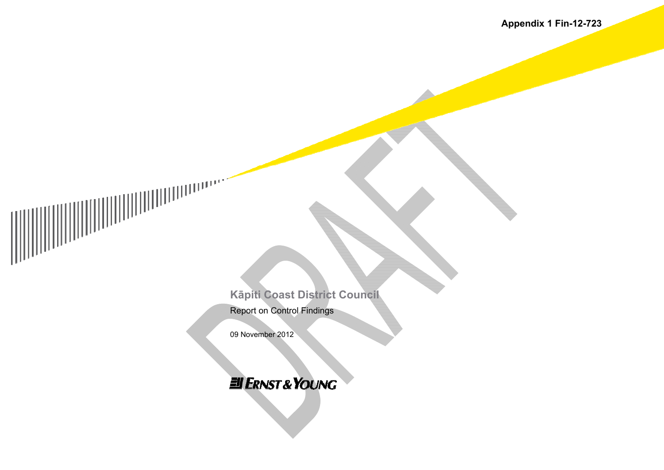Kāpiti Coast District Council **Report on Control Findings** 

09 November 2012

**EII ERNST & YOUNG**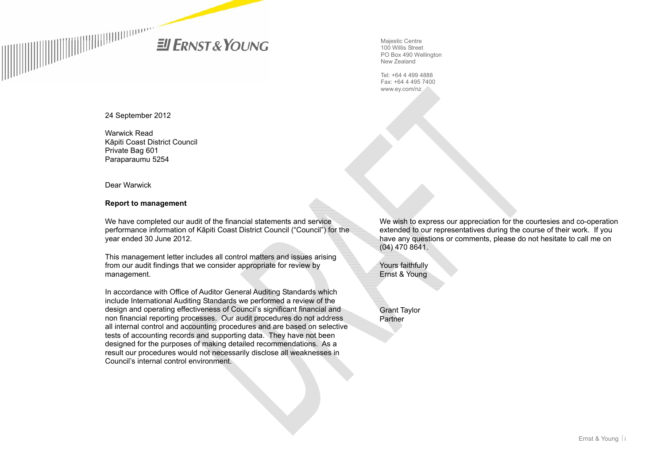**ENST&YOUNG** 

Majestic Centre 100 Willis Street PO Box 490 Wellington New Zealand

Tel: +64 4 499 4888 Fax: +64 4 495 7400 www.ey.com/nz

24 September 2012

Warwick Read Kāpiti Coast District Council Private Bag 601 Paraparaumu 5254

Dear Warwick

#### **Report to management**

We have completed our audit of the financial statements and service performance information of Kāpiti Coast District Council ("Council") for the year ended 30 June 2012.

This management letter includes all control matters and issues arising from our audit findings that we consider appropriate for review by management.

In accordance with Office of Auditor General Auditing Standards which include International Auditing Standards we performed a review of the design and operating effectiveness of Council's significant financial and non financial reporting processes. Our audit procedures do not address all internal control and accounting procedures and are based on selective tests of accounting records and supporting data. They have not been designed for the purposes of making detailed recommendations. As a result our procedures would not necessarily disclose all weaknesses in Council's internal control environment.

We wish to express our appreciation for the courtesies and co-operation extended to our representatives during the course of their work. If you have any questions or comments, please do not hesitate to call me on (04) 470 8641.

Yours faithfully Ernst & Young

Grant Taylor Partner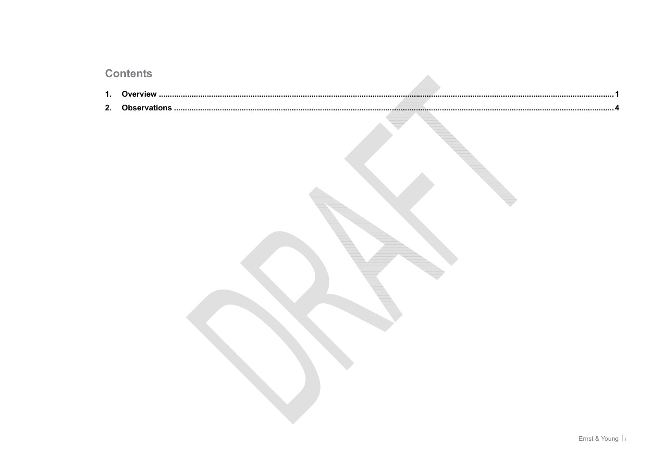# Contents

|    | <b>ANTICITIO</b> |
|----|------------------|
| 1. |                  |
| 2. |                  |
|    |                  |
|    |                  |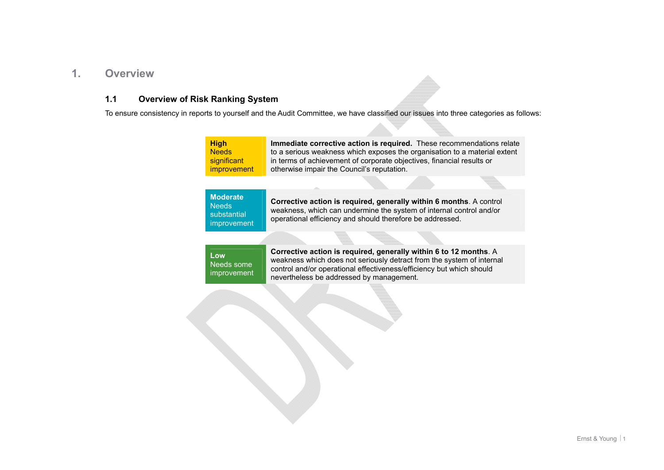### <span id="page-3-0"></span>**1. Overview**

### **1.1 Overview of Risk Ranking System**

To ensure consistency in reports to yourself and the Audit Committee, we have classified our issues into three categories as follows:

| <b>High</b>        | Immediate corrective action is required. These recommendations relate     |
|--------------------|---------------------------------------------------------------------------|
| <b>Needs</b>       | to a serious weakness which exposes the organisation to a material extent |
| significant        | in terms of achievement of corporate objectives, financial results or     |
| <b>improvement</b> | otherwise impair the Council's reputation.                                |

| Moderate<br>Needs:<br>substantial<br>improvement | <b>Corrective action is required, generally within 6 months.</b> A control<br>weakness, which can undermine the system of internal control and/or<br>operational efficiency and should therefore be addressed. |
|--------------------------------------------------|----------------------------------------------------------------------------------------------------------------------------------------------------------------------------------------------------------------|
|--------------------------------------------------|----------------------------------------------------------------------------------------------------------------------------------------------------------------------------------------------------------------|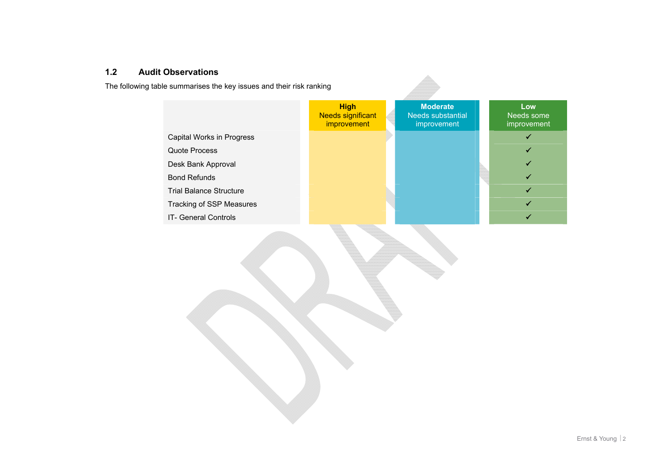### **1.2 Audit Observations**

The following table summarises the key issues and their risk ranking

|                                 | <b>High</b><br>Needs significant<br>improvement | <b>Moderate</b><br><b>Needs substantial</b><br>improvement | Low<br>Needs some<br>improvement |
|---------------------------------|-------------------------------------------------|------------------------------------------------------------|----------------------------------|
| Capital Works in Progress       |                                                 |                                                            | $\checkmark$                     |
| Quote Process                   |                                                 |                                                            |                                  |
| Desk Bank Approval              |                                                 |                                                            |                                  |
| <b>Bond Refunds</b>             |                                                 |                                                            |                                  |
| <b>Trial Balance Structure</b>  |                                                 |                                                            |                                  |
| <b>Tracking of SSP Measures</b> |                                                 |                                                            |                                  |
| <b>IT- General Controls</b>     |                                                 |                                                            |                                  |
|                                 |                                                 |                                                            |                                  |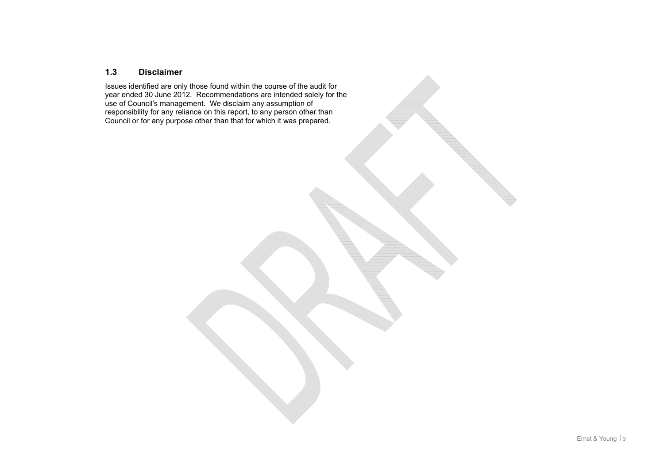### **1.3 Disclaimer**

Issues identified are only those found within the course of the audit for year ended 30 June 2012. Recommendations are intended solely for the use of Council's management. We disclaim any assumption of responsibility for any reliance on this report, to any person other than Council or for any purpose other than that for which it was prepared.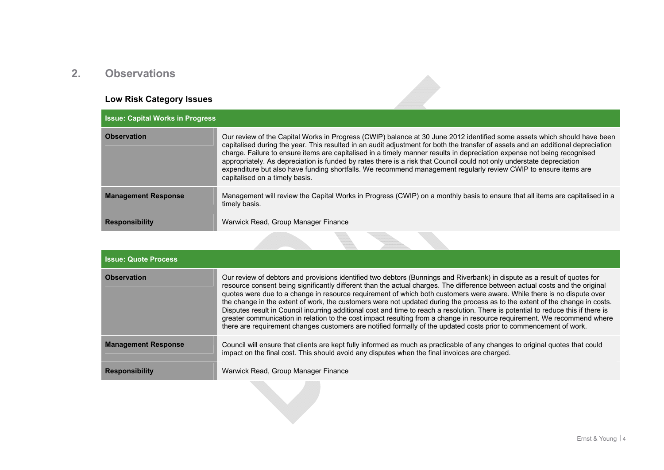## <span id="page-6-0"></span>**2. Observations**

# **Low Risk Category Issues**

| <b>Issue: Capital Works in Progress</b> |                                                                                                                                                                                                                                                                                                                                                                                                                                                                                                                                                                                                                                                                       |  |
|-----------------------------------------|-----------------------------------------------------------------------------------------------------------------------------------------------------------------------------------------------------------------------------------------------------------------------------------------------------------------------------------------------------------------------------------------------------------------------------------------------------------------------------------------------------------------------------------------------------------------------------------------------------------------------------------------------------------------------|--|
| <b>Observation</b>                      | Our review of the Capital Works in Progress (CWIP) balance at 30 June 2012 identified some assets which should have been<br>capitalised during the year. This resulted in an audit adjustment for both the transfer of assets and an additional depreciation<br>charge. Failure to ensure items are capitalised in a timely manner results in depreciation expense not being recognised<br>appropriately. As depreciation is funded by rates there is a risk that Council could not only understate depreciation<br>expenditure but also have funding shortfalls. We recommend management regularly review CWIP to ensure items are<br>capitalised on a timely basis. |  |
| <b>Management Response</b>              | Management will review the Capital Works in Progress (CWIP) on a monthly basis to ensure that all items are capitalised in a<br>timely basis.                                                                                                                                                                                                                                                                                                                                                                                                                                                                                                                         |  |
| <b>Responsibility</b>                   | Warwick Read, Group Manager Finance                                                                                                                                                                                                                                                                                                                                                                                                                                                                                                                                                                                                                                   |  |

 $\blacktriangleright$ 

| <b>Issue: Quote Process</b> |                                                                                                                                                                                                                                                                                                                                                                                                                                                                                                                                                                                                                                                                                                                                                                                                                                                                                                            |
|-----------------------------|------------------------------------------------------------------------------------------------------------------------------------------------------------------------------------------------------------------------------------------------------------------------------------------------------------------------------------------------------------------------------------------------------------------------------------------------------------------------------------------------------------------------------------------------------------------------------------------------------------------------------------------------------------------------------------------------------------------------------------------------------------------------------------------------------------------------------------------------------------------------------------------------------------|
| <b>Observation</b>          | Our review of debtors and provisions identified two debtors (Bunnings and Riverbank) in dispute as a result of quotes for<br>resource consent being significantly different than the actual charges. The difference between actual costs and the original<br>quotes were due to a change in resource requirement of which both customers were aware. While there is no dispute over<br>the change in the extent of work, the customers were not updated during the process as to the extent of the change in costs.<br>Disputes result in Council incurring additional cost and time to reach a resolution. There is potential to reduce this if there is<br>greater communication in relation to the cost impact resulting from a change in resource requirement. We recommend where<br>there are requirement changes customers are notified formally of the updated costs prior to commencement of work. |
| <b>Management Response</b>  | Council will ensure that clients are kept fully informed as much as practicable of any changes to original quotes that could<br>impact on the final cost. This should avoid any disputes when the final invoices are charged.                                                                                                                                                                                                                                                                                                                                                                                                                                                                                                                                                                                                                                                                              |
| <b>Responsibility</b>       | Warwick Read, Group Manager Finance                                                                                                                                                                                                                                                                                                                                                                                                                                                                                                                                                                                                                                                                                                                                                                                                                                                                        |
|                             |                                                                                                                                                                                                                                                                                                                                                                                                                                                                                                                                                                                                                                                                                                                                                                                                                                                                                                            |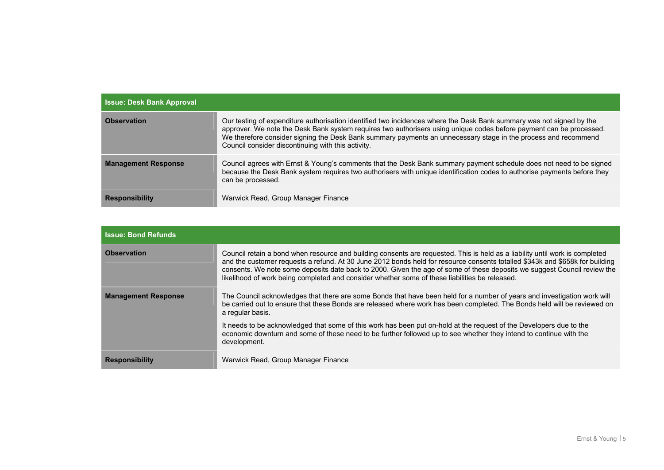| <b>Issue: Desk Bank Approval</b> |                                                                                                                                                                                                                                                                                                                                                                                                                     |  |
|----------------------------------|---------------------------------------------------------------------------------------------------------------------------------------------------------------------------------------------------------------------------------------------------------------------------------------------------------------------------------------------------------------------------------------------------------------------|--|
| <b>Observation</b>               | Our testing of expenditure authorisation identified two incidences where the Desk Bank summary was not signed by the<br>approver. We note the Desk Bank system requires two authorisers using unique codes before payment can be processed.<br>We therefore consider signing the Desk Bank summary payments an unnecessary stage in the process and recommend<br>Council consider discontinuing with this activity. |  |
| <b>Management Response</b>       | Council agrees with Ernst & Young's comments that the Desk Bank summary payment schedule does not need to be signed<br>because the Desk Bank system requires two authorisers with unique identification codes to authorise payments before they<br>can be processed.                                                                                                                                                |  |
| <b>Responsibility</b>            | Warwick Read, Group Manager Finance                                                                                                                                                                                                                                                                                                                                                                                 |  |

| <b>Issue: Bond Refunds</b> |                                                                                                                                                                                                                                                                                                                                                                                                                                                                                            |  |
|----------------------------|--------------------------------------------------------------------------------------------------------------------------------------------------------------------------------------------------------------------------------------------------------------------------------------------------------------------------------------------------------------------------------------------------------------------------------------------------------------------------------------------|--|
| <b>Observation</b>         | Council retain a bond when resource and building consents are requested. This is held as a liability until work is completed<br>and the customer requests a refund. At 30 June 2012 bonds held for resource consents totalled \$343k and \$658k for building<br>consents. We note some deposits date back to 2000. Given the age of some of these deposits we suggest Council review the<br>likelihood of work being completed and consider whether some of these liabilities be released. |  |
| <b>Management Response</b> | The Council acknowledges that there are some Bonds that have been held for a number of years and investigation work will<br>be carried out to ensure that these Bonds are released where work has been completed. The Bonds held will be reviewed on<br>a regular basis.                                                                                                                                                                                                                   |  |
|                            | It needs to be acknowledged that some of this work has been put on-hold at the request of the Developers due to the<br>economic downturn and some of these need to be further followed up to see whether they intend to continue with the<br>development.                                                                                                                                                                                                                                  |  |
| <b>Responsibility</b>      | Warwick Read, Group Manager Finance                                                                                                                                                                                                                                                                                                                                                                                                                                                        |  |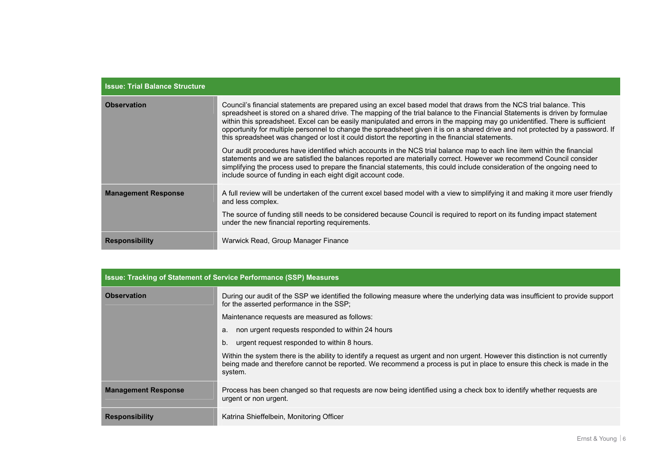| <b>Issue: Trial Balance Structure</b> |                                                                                                                                                                                                                                                                                                                                                                                                                                                                                                                                                                                                                        |
|---------------------------------------|------------------------------------------------------------------------------------------------------------------------------------------------------------------------------------------------------------------------------------------------------------------------------------------------------------------------------------------------------------------------------------------------------------------------------------------------------------------------------------------------------------------------------------------------------------------------------------------------------------------------|
| <b>Observation</b>                    | Council's financial statements are prepared using an excel based model that draws from the NCS trial balance. This<br>spreadsheet is stored on a shared drive. The mapping of the trial balance to the Financial Statements is driven by formulae<br>within this spreadsheet. Excel can be easily manipulated and errors in the mapping may go unidentified. There is sufficient<br>opportunity for multiple personnel to change the spreadsheet given it is on a shared drive and not protected by a password. If<br>this spreadsheet was changed or lost it could distort the reporting in the financial statements. |
|                                       | Our audit procedures have identified which accounts in the NCS trial balance map to each line item within the financial<br>statements and we are satisfied the balances reported are materially correct. However we recommend Council consider<br>simplifying the process used to prepare the financial statements, this could include consideration of the ongoing need to<br>include source of funding in each eight digit account code.                                                                                                                                                                             |
| <b>Management Response</b>            | A full review will be undertaken of the current excel based model with a view to simplifying it and making it more user friendly<br>and less complex.                                                                                                                                                                                                                                                                                                                                                                                                                                                                  |
|                                       | The source of funding still needs to be considered because Council is required to report on its funding impact statement<br>under the new financial reporting requirements.                                                                                                                                                                                                                                                                                                                                                                                                                                            |
| <b>Responsibility</b>                 | Warwick Read, Group Manager Finance                                                                                                                                                                                                                                                                                                                                                                                                                                                                                                                                                                                    |

| <b>Issue: Tracking of Statement of Service Performance (SSP) Measures</b> |                                                                                                                                                                                                                                                                        |  |
|---------------------------------------------------------------------------|------------------------------------------------------------------------------------------------------------------------------------------------------------------------------------------------------------------------------------------------------------------------|--|
| <b>Observation</b>                                                        | During our audit of the SSP we identified the following measure where the underlying data was insufficient to provide support<br>for the asserted performance in the SSP;                                                                                              |  |
|                                                                           | Maintenance requests are measured as follows:                                                                                                                                                                                                                          |  |
|                                                                           | non urgent requests responded to within 24 hours<br>а.                                                                                                                                                                                                                 |  |
|                                                                           | urgent request responded to within 8 hours.<br>b.                                                                                                                                                                                                                      |  |
|                                                                           | Within the system there is the ability to identify a request as urgent and non urgent. However this distinction is not currently<br>being made and therefore cannot be reported. We recommend a process is put in place to ensure this check is made in the<br>system. |  |
| <b>Management Response</b>                                                | Process has been changed so that requests are now being identified using a check box to identify whether requests are<br>urgent or non urgent.                                                                                                                         |  |
| <b>Responsibility</b>                                                     | Katrina Shieffelbein, Monitoring Officer                                                                                                                                                                                                                               |  |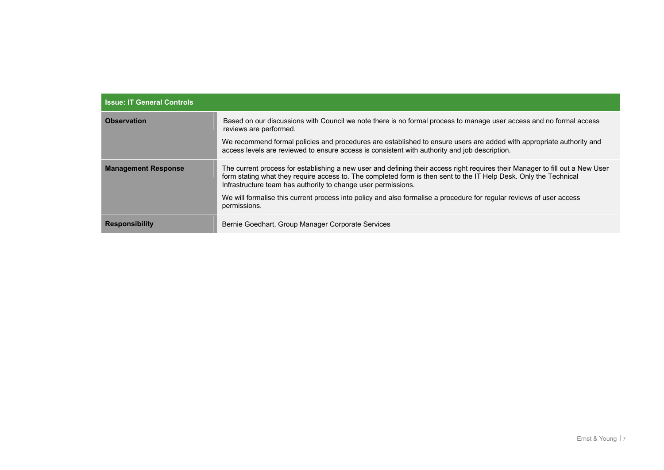| <b>Issue: IT General Controls</b> |                                                                                                                                                                                                                                                                                                                     |  |
|-----------------------------------|---------------------------------------------------------------------------------------------------------------------------------------------------------------------------------------------------------------------------------------------------------------------------------------------------------------------|--|
| <b>Observation</b>                | Based on our discussions with Council we note there is no formal process to manage user access and no formal access<br>reviews are performed.                                                                                                                                                                       |  |
|                                   | We recommend formal policies and procedures are established to ensure users are added with appropriate authority and<br>access levels are reviewed to ensure access is consistent with authority and job description.                                                                                               |  |
| <b>Management Response</b>        | The current process for establishing a new user and defining their access right requires their Manager to fill out a New User<br>form stating what they require access to. The completed form is then sent to the IT Help Desk. Only the Technical<br>Infrastructure team has authority to change user permissions. |  |
|                                   | We will formalise this current process into policy and also formalise a procedure for regular reviews of user access<br>permissions.                                                                                                                                                                                |  |
| <b>Responsibility</b>             | Bernie Goedhart, Group Manager Corporate Services                                                                                                                                                                                                                                                                   |  |